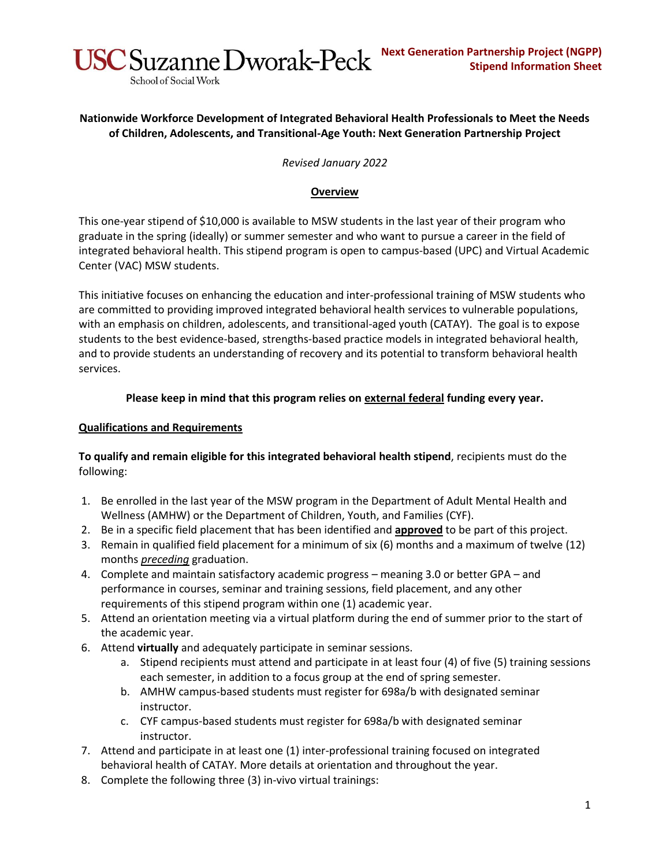

# **Nationwide Workforce Development of Integrated Behavioral Health Professionals to Meet the Needs of Children, Adolescents, and Transitional-Age Youth: Next Generation Partnership Project**

*Revised January 2022*

# **Overview**

This one-year stipend of \$10,000 is available to MSW students in the last year of their program who graduate in the spring (ideally) or summer semester and who want to pursue a career in the field of integrated behavioral health. This stipend program is open to campus-based (UPC) and Virtual Academic Center (VAC) MSW students.

This initiative focuses on enhancing the education and inter-professional training of MSW students who are committed to providing improved integrated behavioral health services to vulnerable populations, with an emphasis on children, adolescents, and transitional-aged youth (CATAY). The goal is to expose students to the best evidence-based, strengths-based practice models in integrated behavioral health, and to provide students an understanding of recovery and its potential to transform behavioral health services.

## **Please keep in mind that this program relies on external federal funding every year.**

### **Qualifications and Requirements**

School of Social Work

## **To qualify and remain eligible for this integrated behavioral health stipend**, recipients must do the following:

- 1. Be enrolled in the last year of the MSW program in the Department of Adult Mental Health and Wellness (AMHW) or the Department of Children, Youth, and Families (CYF).
- 2. Be in a specific field placement that has been identified and **approved** to be part of this project.
- 3. Remain in qualified field placement for a minimum of six (6) months and a maximum of twelve (12) months *preceding* graduation.
- 4. Complete and maintain satisfactory academic progress meaning 3.0 or better GPA and performance in courses, seminar and training sessions, field placement, and any other requirements of this stipend program within one (1) academic year.
- 5. Attend an orientation meeting via a virtual platform during the end of summer prior to the start of the academic year.
- 6. Attend **virtually** and adequately participate in seminar sessions.
	- a. Stipend recipients must attend and participate in at least four (4) of five (5) training sessions each semester, in addition to a focus group at the end of spring semester.
	- b. AMHW campus-based students must register for 698a/b with designated seminar instructor.
	- c. CYF campus-based students must register for 698a/b with designated seminar instructor.
- 7. Attend and participate in at least one (1) inter-professional training focused on integrated behavioral health of CATAY. More details at orientation and throughout the year.
- 8. Complete the following three (3) in-vivo virtual trainings: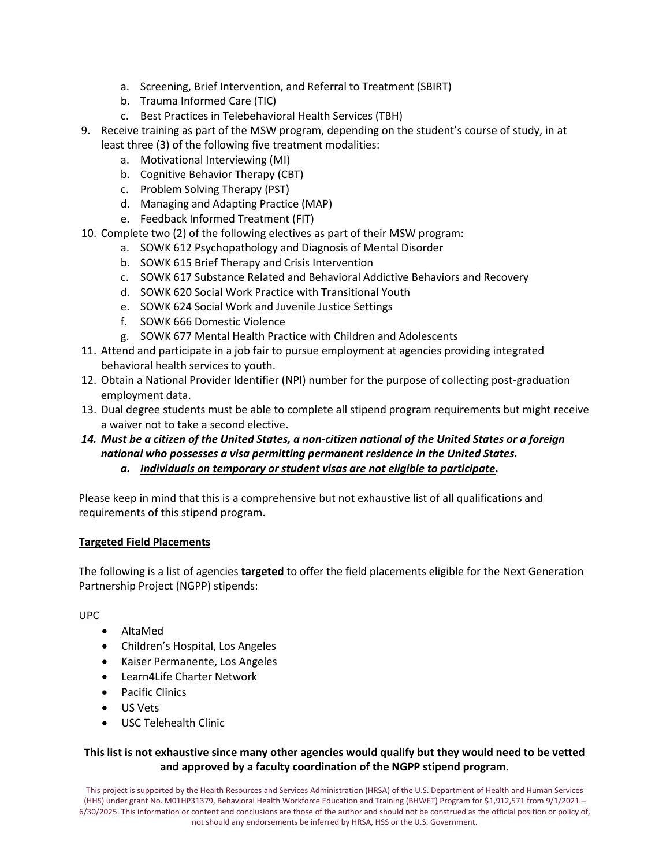- a. Screening, Brief Intervention, and Referral to Treatment (SBIRT)
- b. Trauma Informed Care (TIC)
- c. Best Practices in Telebehavioral Health Services (TBH)
- 9. Receive training as part of the MSW program, depending on the student's course of study, in at least three (3) of the following five treatment modalities:
	- a. Motivational Interviewing (MI)
	- b. Cognitive Behavior Therapy (CBT)
	- c. Problem Solving Therapy (PST)
	- d. Managing and Adapting Practice (MAP)
	- e. Feedback Informed Treatment (FIT)
- 10. Complete two (2) of the following electives as part of their MSW program:
	- a. SOWK 612 Psychopathology and Diagnosis of Mental Disorder
	- b. SOWK 615 Brief Therapy and Crisis Intervention
	- c. SOWK 617 Substance Related and Behavioral Addictive Behaviors and Recovery
	- d. SOWK 620 Social Work Practice with Transitional Youth
	- e. SOWK 624 Social Work and Juvenile Justice Settings
	- f. SOWK 666 Domestic Violence
	- g. SOWK 677 Mental Health Practice with Children and Adolescents
- 11. Attend and participate in a job fair to pursue employment at agencies providing integrated behavioral health services to youth.
- 12. Obtain a National Provider Identifier (NPI) number for the purpose of collecting post-graduation employment data.
- 13. Dual degree students must be able to complete all stipend program requirements but might receive a waiver not to take a second elective.

### *14. Must be a citizen of the United States, a non-citizen national of the United States or a foreign national who possesses a visa permitting permanent residence in the United States. a. Individuals on temporary or student visas are not eligible to participate.*

Please keep in mind that this is a comprehensive but not exhaustive list of all qualifications and requirements of this stipend program.

#### **Targeted Field Placements**

The following is a list of agencies **targeted** to offer the field placements eligible for the Next Generation Partnership Project (NGPP) stipends:

#### UPC

- AltaMed
- Children's Hospital, Los Angeles
- Kaiser Permanente, Los Angeles
- Learn4Life Charter Network
- Pacific Clinics
- US Vets
- USC Telehealth Clinic

# **This list is not exhaustive since many other agencies would qualify but they would need to be vetted and approved by a faculty coordination of the NGPP stipend program.**